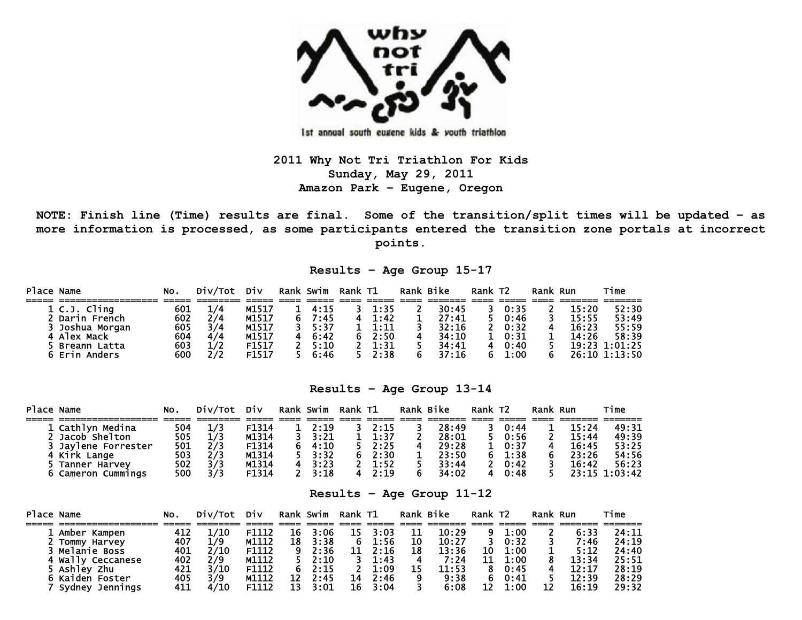

Ist annual south eugene kids & youth triathlon

**2011 Why Not Tri Triathlon For Kids Sunday, May 29, 2011 Amazon Park – Eugene, Oregon** 

**NOTE: Finish line (Time) results are final. Some of the transition/split times will be updated – as more information is processed, as some participants entered the transition zone portals at incorrect points.** 

**Results – Age Group 15-17** 

| Place Name |                 | NO. | Div/Tot | Div               | Rank Swim      | Rank T1 |      | Rank Bike | Rank T <sub>2</sub> |             | Rank Run |       | Time          |
|------------|-----------------|-----|---------|-------------------|----------------|---------|------|-----------|---------------------|-------------|----------|-------|---------------|
|            |                 |     |         |                   |                |         |      |           |                     |             |          |       |               |
|            | 1 C.J. Cling    | 601 |         | M1517             | $1 \quad 4:15$ |         | 1:35 | 30:45     |                     | 0:35        |          | 15:20 | 52:30         |
|            | 2 Darin French  | 602 | 2/4     | M1517             | 7:45           |         | 1:42 | 27:41     |                     | 0:46        |          | 15:55 | 53:49         |
|            | 3 Joshua Morgan | 605 | 3/4     | M1517             | 3, 5:37        |         | 1:11 | 32:16     |                     | $2 \t 0:32$ |          | 16:23 | 55:59         |
|            | 4 Alex Mack     | 604 | 4/4     | M1517             | 6:42           |         | 2:50 | 34:10     |                     | $1 \t0:31$  |          | 14:26 | 58:39         |
|            | 5 Breann Latta  | 603 | 1/2     | F1517             | 2, 5:10        |         | 1:31 | 34:41     | 4                   | 0:40        |          |       | 19:23 1:01:25 |
|            | 6 Erin Anders   | 600 | 2/2     | F <sub>1517</sub> | 6:46           |         | 2:38 | 37:16     |                     | 1:00        |          |       | 26:10 1:13:50 |

## **Results – Age Group 13-14**

| Place Name          | NO. | Div/Tot | Div   | Rank Swim | Rank T1 |      | Rank Bike | Rank T <sub>2</sub> |      | Rank Run |       | Time          |
|---------------------|-----|---------|-------|-----------|---------|------|-----------|---------------------|------|----------|-------|---------------|
|                     |     |         |       |           |         |      |           |                     |      |          |       |               |
| 1 Cathlyn Medina    | 504 |         | F1314 | 2:19      |         | 2:15 | 28:49     |                     | 0:44 |          | 15:24 | 49:31         |
| 2 Jacob Shelton     | 505 | 1/3     | M1314 | 3:21      |         | 1:37 | 28:01     |                     | 0:56 |          | 15:44 | 49:39         |
| 3 Jaylene Forrester | 501 | 2/3     | F1314 | 4:10      |         | 2:25 | 29:28     |                     | 0:37 |          | 16:45 | 53:25         |
| 4 Kirk Lange        | 503 |         | M1314 | 3:32      | 6       | 2:30 | 23:50     | 6.                  | 1:38 |          | 23:26 | 54:56         |
| 5 Tanner Harvev     | 502 |         | M1314 | 3:23      |         | 1:52 | 33:44     |                     | 0:42 |          | 16:42 | 56:23         |
| 6 Cameron Cummings  | 500 | 3/3     | F1314 | 3:18      |         | 7:19 | 34:02     |                     | 0:48 |          |       | 23:15 1:03:42 |

**Results – Age Group 11-12** 

| Place Name |                    | NO. | Div/Tot | Div   |    | Rank Swim | Rank T1 |      | Rank Bike |       | Rank T <sub>2</sub> |      | Rank Run |       | Time  |
|------------|--------------------|-----|---------|-------|----|-----------|---------|------|-----------|-------|---------------------|------|----------|-------|-------|
|            |                    |     |         |       |    |           |         |      |           |       |                     |      |          |       |       |
|            | 1 Amber Kampen     | 412 |         | F1112 | 16 | 3:06      | 15      | 3:03 |           | 10:29 |                     | 1:00 |          | 6:33  | 24:11 |
|            | 2 Tommy Harvey     | 407 | 1/9     | M1112 | 18 | 3:38      | 6       | 1:56 | 10        | 10:27 |                     | 0:32 |          | 7:46  | 24:19 |
|            | 3 Melanie Boss     | 401 | 2/10    | F1112 | 9  | 2:36      | 11      | 2:16 | 18        | 13:36 | 10                  | 1:00 |          | 5:12  | 24:40 |
|            | 4 Wally Ceccanese  | 402 | 2/9     | M1112 |    | 2:10      |         | 1:43 |           | 7:24  | 11                  | 1:00 |          | 13:34 | 25:51 |
|            | 5 Ashley Zhu       | 421 | 3/10    | F1112 |    | 2:15      |         | 1:09 |           | 11:53 |                     | 0:45 |          | 12:17 | 28:19 |
|            | 6 Kaiden Foster    | 405 | 3/9     | M1112 | 12 | 2:45      | 14      | 2:46 |           | 9:38  |                     | 0:41 |          | 12:39 | 28:29 |
|            | Sydney<br>Jennings | 411 |         | F1112 | 13 | 3:01      | 16      | 3:04 |           | 6:08  |                     | 1:00 | 12       | 16:19 | 29:32 |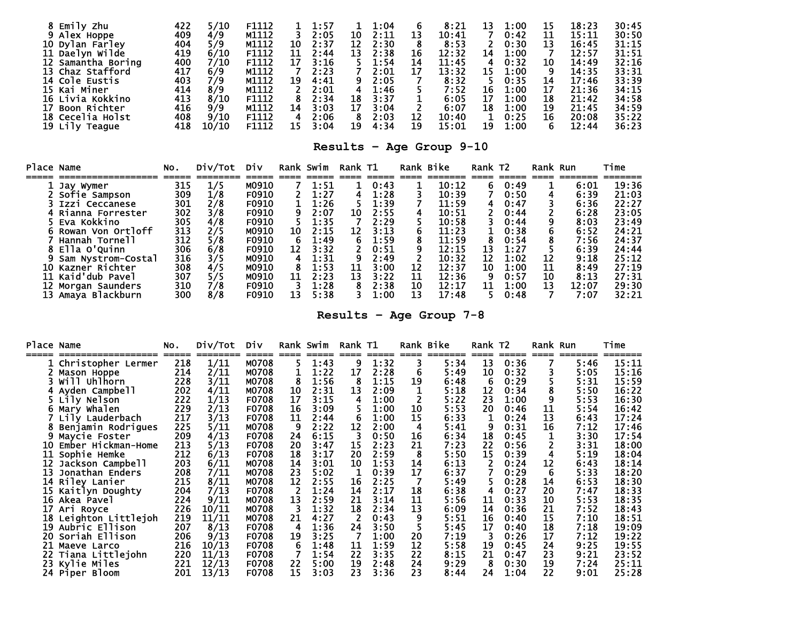| Emily Zhu          | 422 | 5/10  | F1112 |    | 1:57 |    | 1:04 |    | 8:21  | 13 | 1:00 |    | 18:23 | 30:45 |
|--------------------|-----|-------|-------|----|------|----|------|----|-------|----|------|----|-------|-------|
| 9 Alex Hoppe       | 409 | 4/9   | M1112 |    | 2:05 | 10 | 2:11 | 13 | 10:41 |    | 0:42 | 11 | 15:11 | 30:50 |
| 10 Dylan Farley    | 404 | 5/9   | M1112 | 10 | 2:37 | 12 | 2:30 |    | 8:53  |    | 0:30 | 13 | 16:45 | 31:15 |
| 11 Daelyn Wilde    | 419 | 6/10  | F1112 | 11 | 2:44 | 13 | 2:38 | 16 | 12:32 | 14 | 1:00 |    | 12:57 | 31:51 |
| 12 Samantha Boring | 400 | 7/10  | F1112 | 17 | 3:16 |    | 1:54 | 14 | 11:45 |    | 0:32 | 10 | 14:49 | 32:16 |
| 13 Chaz Stafford   | 417 | 6/9   | M1112 |    | 2:23 |    | 2:01 | 17 | 13:32 | 15 | 1:00 |    | 14:35 | 33:31 |
| 14 Cole Eustis     | 403 | 7/9   | M1112 | 19 | 4:41 | 9. | 2:05 |    | 8:32  |    | 0:35 | 14 | 17:46 | 33:39 |
| 15 Kai Miner       | 414 | 8/9   | M1112 |    | 2:01 | 4  | 1:46 |    | 7:52  | 16 | 1:00 | 17 | 21:36 | 34:15 |
| 16 Livia Kokkino   | 413 | 8/10  | F1112 |    | 2:34 | 18 | 3:37 |    | 6:05  | 17 | 1:00 | 18 | 21:42 | 34:58 |
| Boon Richter       | 416 | 9/9   | M1112 | 14 | 3:03 | 17 | 3:04 |    | 6:07  | 18 | 1:00 | 19 | 21:45 | 34:59 |
| 18 Cecelia Holst   | 408 | 9/10  | F1112 |    | 2:06 | 8  | 2:03 |    | 10:40 |    | 0:25 | 16 | 20:08 | 35:22 |
| 19 Lily Teague     | 418 | 10/10 | F1112 | 15 | 3:04 | 19 | 4:34 | 19 | 15:01 | 19 | 1:00 |    | 12:44 | 36:23 |

**Results – Age Group 9-10** 

| Place Name |                    | No. | Div/Tot | Div   |    | Rank Swim | Rank T1 |      |    | Rank Bike | Rank T <sub>2</sub> |      | Rank Run |       | Time  |
|------------|--------------------|-----|---------|-------|----|-----------|---------|------|----|-----------|---------------------|------|----------|-------|-------|
|            | Jay Wymer          | 315 | 1/5     | M0910 |    | 1:51      |         | 0:43 |    | 10:12     | 6                   | 0:49 |          | 6:01  | 19:36 |
|            | 2 Sofie Sampson    | 309 | 1/8     | F0910 |    | 1:27      |         | 1:28 |    | 10:39     |                     | 0:50 |          | 6:39  | 21:03 |
|            | 3 Izzi Ceccanese   | 301 | 2/8     | F0910 |    | 1:26      |         | 1:39 |    | 11:59     | 4                   | 0:47 |          | 6:36  | 22:27 |
|            | 4 Rianna Forrester | 302 | 3/8     | F0910 | 9  | 2:07      | 10      | 2:55 | 4  | 10:51     |                     | 0:44 |          | 6:28  | 23:05 |
|            | 5 Eva Kokkino      | 305 | 4/8     | F0910 |    | 1:35      |         | 2:29 |    | 10:58     |                     | 0:44 |          | 8:03  | 23:49 |
|            | Rowan Von Ortloff  | 313 | 2/5     | M0910 | 10 | 2:15      | 12      | 3:13 | 6  | 11:23     |                     | 0:38 |          | 6:52  | 24:21 |
|            | Hannah Tornell     | 312 | 5/8     | F0910 | 6  | 1:49      | 6       | 1:59 | 8  | 11:59     | 8                   | 0:54 |          | 7:56  | 24:37 |
|            | 8 Ella O'Quinn     | 306 | 6/8     | F0910 | 12 | 3:32      |         | 0:51 |    | 12:15     | 13                  | 1:27 |          | 6:39  | 24:44 |
|            | Sam Nystrom-Costal | 316 | 3/5     | M0910 | 4  | 1:31      |         | 2:49 |    | 10:32     | 12                  | 1:02 | 12       | 9:18  | 25:12 |
|            | 10 Kazner Richter  | 308 | 4/5     | M0910 |    | 1:53      | 11      | 3:00 | 12 | 12:37     | 10                  | 1:00 | 11       | 8:49  | 27:19 |
|            | 11 Kaid'dub Pavel  | 307 | 5/5     | M0910 | 11 | 2:23      | 13      | 3:22 | 11 | 12:36     | 9                   | 0:57 | 10       | 8:13  | 27:31 |
|            | 12 Morgan Saunders | 310 | 7/8     | F0910 |    | 1:28      |         | 2:38 | 10 | 12:17     | 11                  | 1:00 | 13       | 12:07 | 29:30 |
|            | 13 Amaya Blackburn | 300 | 8/8     | F0910 | 13 | 5:38      |         | 1:00 | 13 | 17:48     |                     | 0:48 |          | 7:07  | 32:21 |

**Results – Age Group 7-8** 

| Place | Name               | NO.          | Div/Tot | Div   |    | Rank Swim     | Rank T1 |      |    | Rank Bike       | Rank T2    |               | Rank | Run             | Time  |
|-------|--------------------|--------------|---------|-------|----|---------------|---------|------|----|-----------------|------------|---------------|------|-----------------|-------|
|       | Christopher Lermer | =====<br>218 | 1/11    | M0708 | 5  | =====<br>1:43 | 9       | 1:32 |    | =======<br>5:34 | ====<br>13 | =====<br>0:36 | ==== | =======<br>5:46 | 15:11 |
|       | Mason Hoppe        | 214          | 2/11    | M0708 |    | 1:22          | 17      | 2:28 | 6  | 5:49            | 10         | 0:32          |      | 5:05            | 15:16 |
|       | will uhlhorn       | 228          | 3/11    | M0708 | 8  | 1:56          | 8       | 1:15 | 19 | 6:48            | 6          | 0:29          |      | 5:31            | 15:59 |
|       | Ayden Campbell     | 202          | 4/11    | M0708 | 10 | 2:31          | 13      | 2:09 |    | 5:18            | 12         | 0:34          |      | 5:50            | 16:22 |
|       | Lily Nelson        | 222          | 1/13    | F0708 | 17 | 3:15          | 4       | 1:00 |    | 5:22            | 23         | 1:00          |      | 5:53            | 16:30 |
|       | Mary Whalen        | 229          | 2/13    | F0708 | 16 | 3:09          |         | 1:00 | 10 | 5:53            | 20         | 0:46          | 11   | 5:54            | 16:42 |
|       | Lily Lauderbach    | 217          | 3/13    | F0708 | 11 | 2:44          | 6       | 1:00 | 15 | 6:33            |            | 0:24          | 13   | 6:43            | 17:24 |
|       | Benjamin Rodrigues | 225          | 5/11    | M0708 | 9  | 2:22          | 12      | 2:00 | 4  | 5:41            | 9          | 0:31          | 16   | 7:12            | 17:46 |
|       | Maycie Foster      | 209          | 4/13    | F0708 | 24 | 6:15          | 3       | 0:50 | 16 | 6:34            | 18         | 0:45          |      | 3:30            | 17:54 |
| 10    | Ember Hickman-Home | 213          | 5/13    | F0708 | 20 | 3:47          | 15      | 2:23 | 21 | 7:23            | 22         | 0:56          |      | 3:31            | 18:00 |
| 11    | Sophie Hemke       | 212          | 6/13    | F0708 | 18 | 3:17          | 20      | 2:59 | 8  | 5:50            | 15         | 0:39          |      | 5:19            | 18:04 |
| 12    | Jackson Campbell   | 203          | 6/11    | M0708 | 14 | 3:01          | 10      | 1:53 | 14 | 6:13            |            | 0:24          | 12   | 6:43            | 18:14 |
| 13    | Jonathan Enders    | 208          | 7/11    | M0708 | 23 | 5:02          |         | 0:39 | 17 | 6:37            |            | 0:29          | 6    | 5:33            | 18:20 |
| 14    | Riley Lanier       | 215          | 8/11    | M0708 | 12 | 2:55          | 16      | 2:25 |    | 5:49            |            | 0:28          | 14   | 6:53            | 18:30 |
| 15    | Kaitlyn Doughty    | 204          | 7/13    | F0708 | 2  | 1:24          | 14      | 2:17 | 18 | 6:38            | 4          | 0:27          | 20   | 7:47            | 18:33 |
| 16    | Akea Pavel         | 224          | 9/11    | M0708 | 13 | 2:59          | 21      | 3:14 | 11 | 5:56            | 11         | 0:33          | 10   | 5:53            | 18:35 |
| 17    | Ari Royce          | 226          | 10/11   | M0708 | 3  | 1:32          | 18      | 2:34 | 13 | 6:09            | 14         | 0:36          | 21   | 7:52            | 18:43 |
| 18    | Leighton Littlejoh | 219          | 11/11   | M0708 | 21 | 4:27          |         | 0:43 |    | 5:51            | 16         | 0:40          | 15   | 7:10            | 18:51 |
| 19    | Aubric Ellison     | 207          | 8/13    | F0708 | 4  | 1:36          | 24      | 3:50 |    | 5:45            | 17         | 0:40          | 18   | 7:18            | 19:09 |
| 20    | Soriah Ellison     | 206          | 9/13    | F0708 | 19 | 3:25          |         | 1:00 | 20 | 7:19            | 3          | 0:26          | 17   | 7:12            | 19:22 |
| 21    | Maeve Larco        | 216          | 10/13   | F0708 |    | 1:48          | 11      | 1:59 | 12 | 5:58            | 19         | 0:45          | 24   | 9:25            | 19:55 |
| 22    | Tiana Littlejohn   | 220          | 11/13   | F0708 |    | 1:54          | 22      | 3:35 | 22 | 8:15            | 21         | 0:47          | 23   | 9:21            | 23:52 |
| 23    | Kylie Miles        | 221          | 12/13   | F0708 | 22 | 5:00          | 19      | 2:48 | 24 | 9:29            | -8         | 0:30          | 19   | 7:24            | 25:11 |
|       | 24 Piper Bloom     | 201          | 13/13   | F0708 | 15 | 3:03          | 23      | 3:36 | 23 | 8:44            | 24         | 1:04          | 22   | 9:01            | 25:28 |